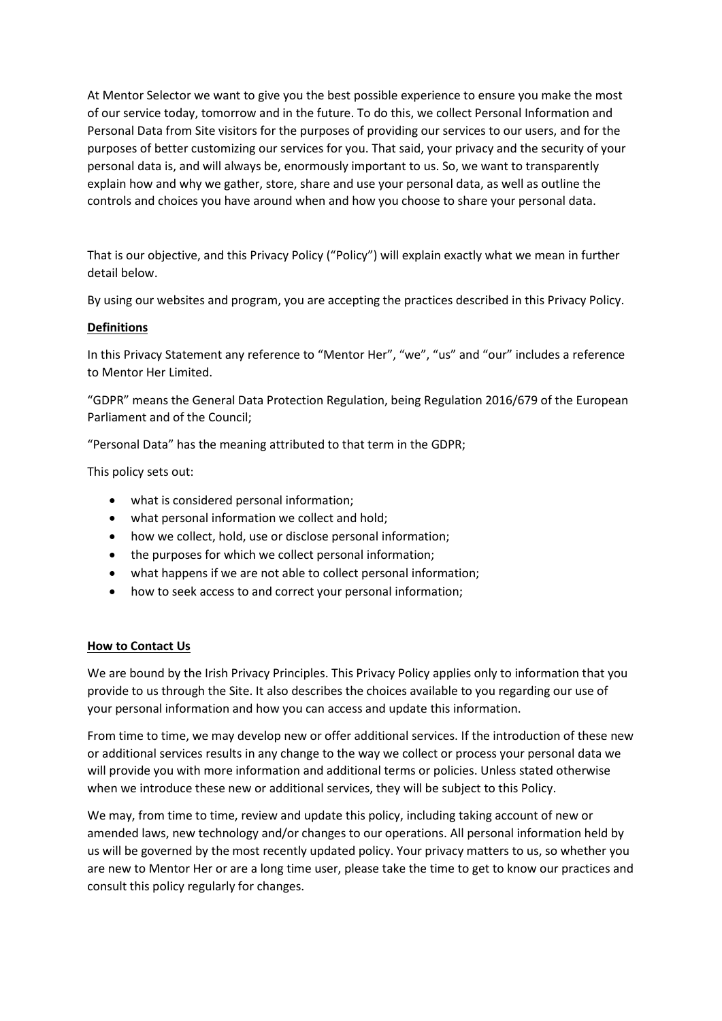At Mentor Selector we want to give you the best possible experience to ensure you make the most of our service today, tomorrow and in the future. To do this, we collect Personal Information and Personal Data from Site visitors for the purposes of providing our services to our users, and for the purposes of better customizing our services for you. That said, your privacy and the security of your personal data is, and will always be, enormously important to us. So, we want to transparently explain how and why we gather, store, share and use your personal data, as well as outline the controls and choices you have around when and how you choose to share your personal data.

That is our objective, and this Privacy Policy ("Policy") will explain exactly what we mean in further detail below.

By using our websites and program, you are accepting the practices described in this Privacy Policy.

# **Definitions**

In this Privacy Statement any reference to "Mentor Her", "we", "us" and "our" includes a reference to Mentor Her Limited.

"GDPR" means the General Data Protection Regulation, being Regulation 2016/679 of the European Parliament and of the Council;

"Personal Data" has the meaning attributed to that term in the GDPR;

This policy sets out:

- what is considered personal information;
- what personal information we collect and hold;
- how we collect, hold, use or disclose personal information;
- the purposes for which we collect personal information;
- what happens if we are not able to collect personal information;
- how to seek access to and correct your personal information;

### **How to Contact Us**

We are bound by the Irish Privacy Principles. This Privacy Policy applies only to information that you provide to us through the Site. It also describes the choices available to you regarding our use of your personal information and how you can access and update this information.

From time to time, we may develop new or offer additional services. If the introduction of these new or additional services results in any change to the way we collect or process your personal data we will provide you with more information and additional terms or policies. Unless stated otherwise when we introduce these new or additional services, they will be subject to this Policy.

We may, from time to time, review and update this policy, including taking account of new or amended laws, new technology and/or changes to our operations. All personal information held by us will be governed by the most recently updated policy. Your privacy matters to us, so whether you are new to Mentor Her or are a long time user, please take the time to get to know our practices and consult this policy regularly for changes.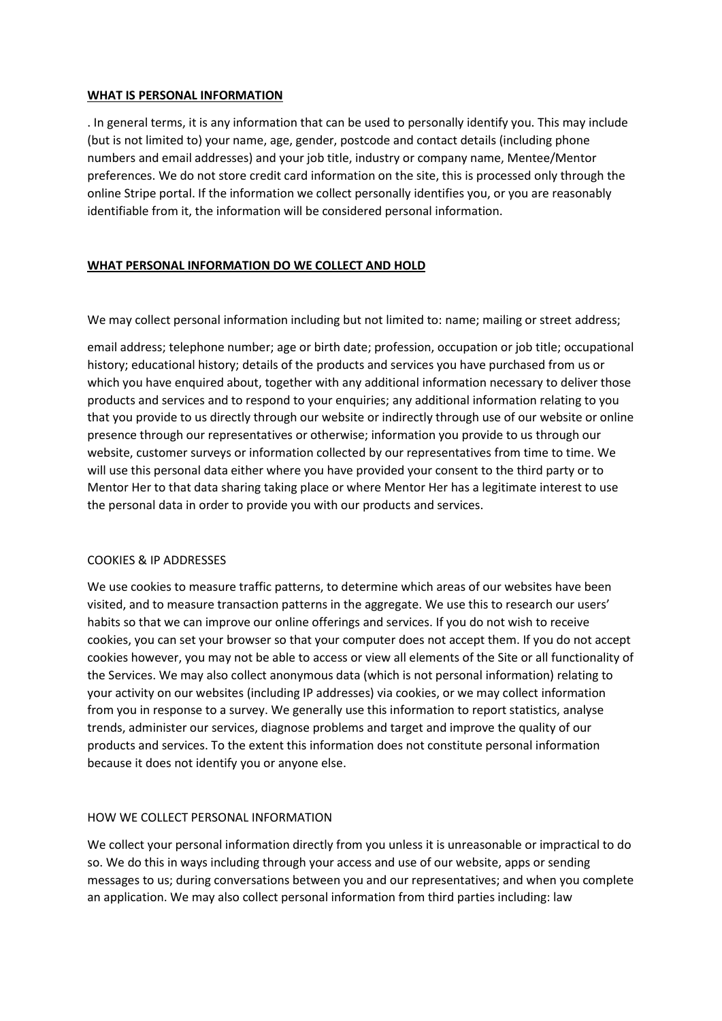### **WHAT IS PERSONAL INFORMATION**

. In general terms, it is any information that can be used to personally identify you. This may include (but is not limited to) your name, age, gender, postcode and contact details (including phone numbers and email addresses) and your job title, industry or company name, Mentee/Mentor preferences. We do not store credit card information on the site, this is processed only through the online Stripe portal. If the information we collect personally identifies you, or you are reasonably identifiable from it, the information will be considered personal information.

### **WHAT PERSONAL INFORMATION DO WE COLLECT AND HOLD**

We may collect personal information including but not limited to: name; mailing or street address;

email address; telephone number; age or birth date; profession, occupation or job title; occupational history; educational history; details of the products and services you have purchased from us or which you have enquired about, together with any additional information necessary to deliver those products and services and to respond to your enquiries; any additional information relating to you that you provide to us directly through our website or indirectly through use of our website or online presence through our representatives or otherwise; information you provide to us through our website, customer surveys or information collected by our representatives from time to time. We will use this personal data either where you have provided your consent to the third party or to Mentor Her to that data sharing taking place or where Mentor Her has a legitimate interest to use the personal data in order to provide you with our products and services.

### COOKIES & IP ADDRESSES

We use cookies to measure traffic patterns, to determine which areas of our websites have been visited, and to measure transaction patterns in the aggregate. We use this to research our users' habits so that we can improve our online offerings and services. If you do not wish to receive cookies, you can set your browser so that your computer does not accept them. If you do not accept cookies however, you may not be able to access or view all elements of the Site or all functionality of the Services. We may also collect anonymous data (which is not personal information) relating to your activity on our websites (including IP addresses) via cookies, or we may collect information from you in response to a survey. We generally use this information to report statistics, analyse trends, administer our services, diagnose problems and target and improve the quality of our products and services. To the extent this information does not constitute personal information because it does not identify you or anyone else.

### HOW WE COLLECT PERSONAL INFORMATION

We collect your personal information directly from you unless it is unreasonable or impractical to do so. We do this in ways including through your access and use of our website, apps or sending messages to us; during conversations between you and our representatives; and when you complete an application. We may also collect personal information from third parties including: law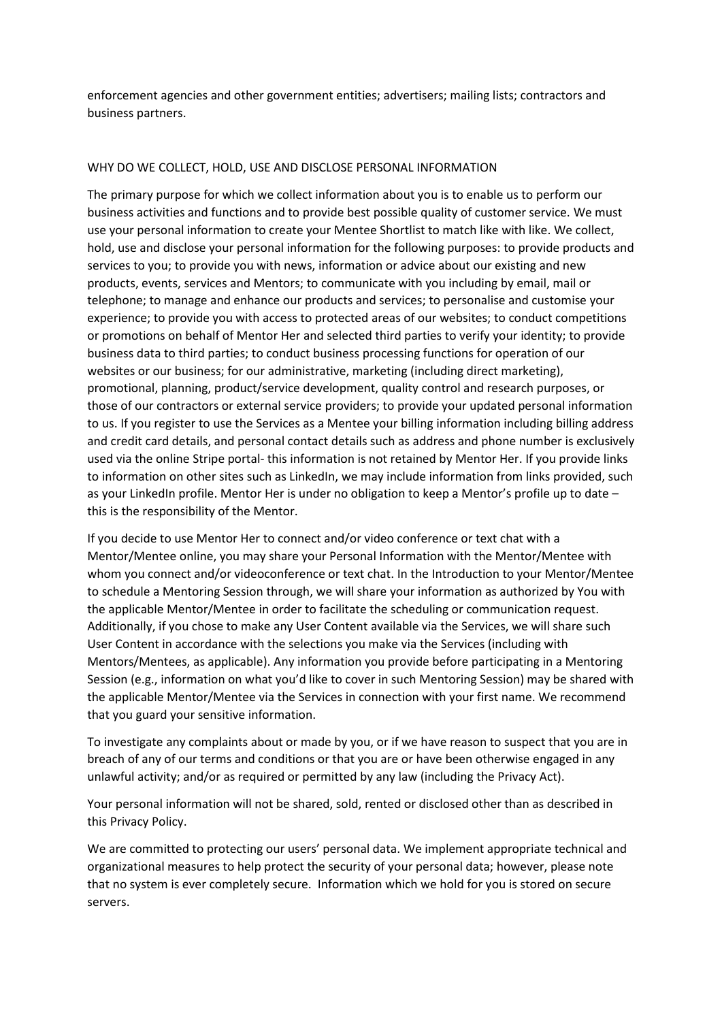enforcement agencies and other government entities; advertisers; mailing lists; contractors and business partners.

### WHY DO WE COLLECT, HOLD, USE AND DISCLOSE PERSONAL INFORMATION

The primary purpose for which we collect information about you is to enable us to perform our business activities and functions and to provide best possible quality of customer service. We must use your personal information to create your Mentee Shortlist to match like with like. We collect, hold, use and disclose your personal information for the following purposes: to provide products and services to you; to provide you with news, information or advice about our existing and new products, events, services and Mentors; to communicate with you including by email, mail or telephone; to manage and enhance our products and services; to personalise and customise your experience; to provide you with access to protected areas of our websites; to conduct competitions or promotions on behalf of Mentor Her and selected third parties to verify your identity; to provide business data to third parties; to conduct business processing functions for operation of our websites or our business; for our administrative, marketing (including direct marketing), promotional, planning, product/service development, quality control and research purposes, or those of our contractors or external service providers; to provide your updated personal information to us. If you register to use the Services as a Mentee your billing information including billing address and credit card details, and personal contact details such as address and phone number is exclusively used via the online Stripe portal- this information is not retained by Mentor Her. If you provide links to information on other sites such as LinkedIn, we may include information from links provided, such as your LinkedIn profile. Mentor Her is under no obligation to keep a Mentor's profile up to date this is the responsibility of the Mentor.

If you decide to use Mentor Her to connect and/or video conference or text chat with a Mentor/Mentee online, you may share your Personal Information with the Mentor/Mentee with whom you connect and/or videoconference or text chat. In the Introduction to your Mentor/Mentee to schedule a Mentoring Session through, we will share your information as authorized by You with the applicable Mentor/Mentee in order to facilitate the scheduling or communication request. Additionally, if you chose to make any User Content available via the Services, we will share such User Content in accordance with the selections you make via the Services (including with Mentors/Mentees, as applicable). Any information you provide before participating in a Mentoring Session (e.g., information on what you'd like to cover in such Mentoring Session) may be shared with the applicable Mentor/Mentee via the Services in connection with your first name. We recommend that you guard your sensitive information.

To investigate any complaints about or made by you, or if we have reason to suspect that you are in breach of any of our terms and conditions or that you are or have been otherwise engaged in any unlawful activity; and/or as required or permitted by any law (including the Privacy Act).

Your personal information will not be shared, sold, rented or disclosed other than as described in this Privacy Policy.

We are committed to protecting our users' personal data. We implement appropriate technical and organizational measures to help protect the security of your personal data; however, please note that no system is ever completely secure. Information which we hold for you is stored on secure servers.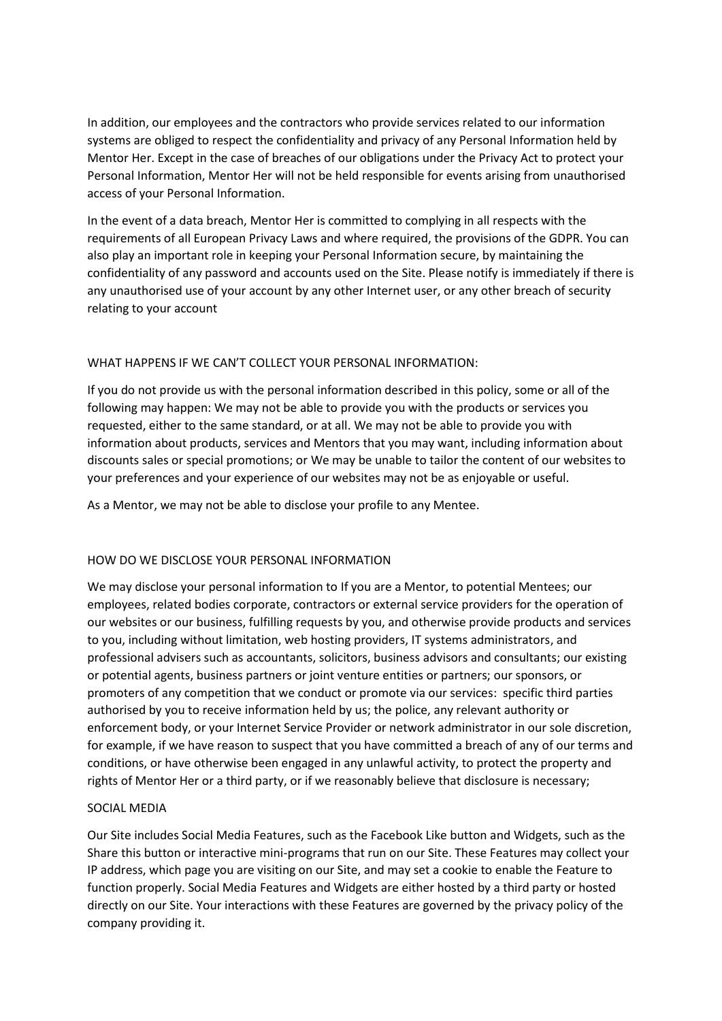In addition, our employees and the contractors who provide services related to our information systems are obliged to respect the confidentiality and privacy of any Personal Information held by Mentor Her. Except in the case of breaches of our obligations under the Privacy Act to protect your Personal Information, Mentor Her will not be held responsible for events arising from unauthorised access of your Personal Information.

In the event of a data breach, Mentor Her is committed to complying in all respects with the requirements of all European Privacy Laws and where required, the provisions of the GDPR. You can also play an important role in keeping your Personal Information secure, by maintaining the confidentiality of any password and accounts used on the Site. Please notify is immediately if there is any unauthorised use of your account by any other Internet user, or any other breach of security relating to your account

### WHAT HAPPENS IF WE CAN'T COLLECT YOUR PERSONAL INFORMATION:

If you do not provide us with the personal information described in this policy, some or all of the following may happen: We may not be able to provide you with the products or services you requested, either to the same standard, or at all. We may not be able to provide you with information about products, services and Mentors that you may want, including information about discounts sales or special promotions; or We may be unable to tailor the content of our websites to your preferences and your experience of our websites may not be as enjoyable or useful.

As a Mentor, we may not be able to disclose your profile to any Mentee.

# HOW DO WE DISCLOSE YOUR PERSONAL INFORMATION

We may disclose your personal information to If you are a Mentor, to potential Mentees; our employees, related bodies corporate, contractors or external service providers for the operation of our websites or our business, fulfilling requests by you, and otherwise provide products and services to you, including without limitation, web hosting providers, IT systems administrators, and professional advisers such as accountants, solicitors, business advisors and consultants; our existing or potential agents, business partners or joint venture entities or partners; our sponsors, or promoters of any competition that we conduct or promote via our services: specific third parties authorised by you to receive information held by us; the police, any relevant authority or enforcement body, or your Internet Service Provider or network administrator in our sole discretion, for example, if we have reason to suspect that you have committed a breach of any of our terms and conditions, or have otherwise been engaged in any unlawful activity, to protect the property and rights of Mentor Her or a third party, or if we reasonably believe that disclosure is necessary;

### SOCIAL MEDIA

Our Site includes Social Media Features, such as the Facebook Like button and Widgets, such as the Share this button or interactive mini-programs that run on our Site. These Features may collect your IP address, which page you are visiting on our Site, and may set a cookie to enable the Feature to function properly. Social Media Features and Widgets are either hosted by a third party or hosted directly on our Site. Your interactions with these Features are governed by the privacy policy of the company providing it.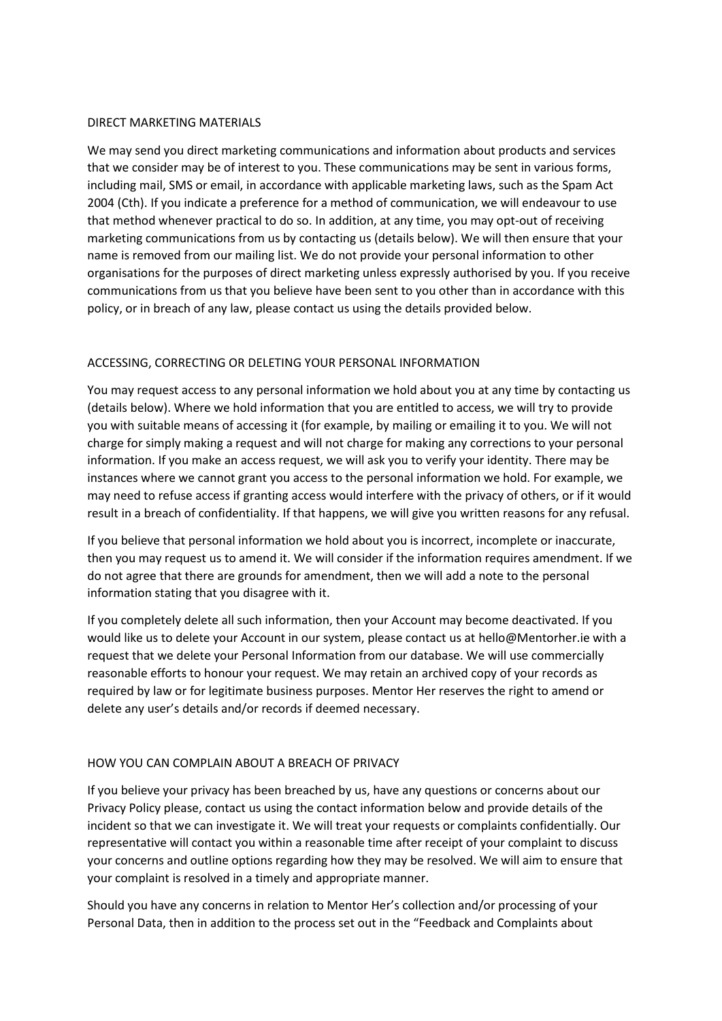### DIRECT MARKETING MATERIALS

We may send you direct marketing communications and information about products and services that we consider may be of interest to you. These communications may be sent in various forms, including mail, SMS or email, in accordance with applicable marketing laws, such as the Spam Act 2004 (Cth). If you indicate a preference for a method of communication, we will endeavour to use that method whenever practical to do so. In addition, at any time, you may opt-out of receiving marketing communications from us by contacting us (details below). We will then ensure that your name is removed from our mailing list. We do not provide your personal information to other organisations for the purposes of direct marketing unless expressly authorised by you. If you receive communications from us that you believe have been sent to you other than in accordance with this policy, or in breach of any law, please contact us using the details provided below.

# ACCESSING, CORRECTING OR DELETING YOUR PERSONAL INFORMATION

You may request access to any personal information we hold about you at any time by contacting us (details below). Where we hold information that you are entitled to access, we will try to provide you with suitable means of accessing it (for example, by mailing or emailing it to you. We will not charge for simply making a request and will not charge for making any corrections to your personal information. If you make an access request, we will ask you to verify your identity. There may be instances where we cannot grant you access to the personal information we hold. For example, we may need to refuse access if granting access would interfere with the privacy of others, or if it would result in a breach of confidentiality. If that happens, we will give you written reasons for any refusal.

If you believe that personal information we hold about you is incorrect, incomplete or inaccurate, then you may request us to amend it. We will consider if the information requires amendment. If we do not agree that there are grounds for amendment, then we will add a note to the personal information stating that you disagree with it.

If you completely delete all such information, then your Account may become deactivated. If you would like us to delete your Account in our system, please contact us at hello@Mentorher.ie with a request that we delete your Personal Information from our database. We will use commercially reasonable efforts to honour your request. We may retain an archived copy of your records as required by law or for legitimate business purposes. Mentor Her reserves the right to amend or delete any user's details and/or records if deemed necessary.

### HOW YOU CAN COMPLAIN ABOUT A BREACH OF PRIVACY

If you believe your privacy has been breached by us, have any questions or concerns about our Privacy Policy please, contact us using the contact information below and provide details of the incident so that we can investigate it. We will treat your requests or complaints confidentially. Our representative will contact you within a reasonable time after receipt of your complaint to discuss your concerns and outline options regarding how they may be resolved. We will aim to ensure that your complaint is resolved in a timely and appropriate manner.

Should you have any concerns in relation to Mentor Her's collection and/or processing of your Personal Data, then in addition to the process set out in the "Feedback and Complaints about